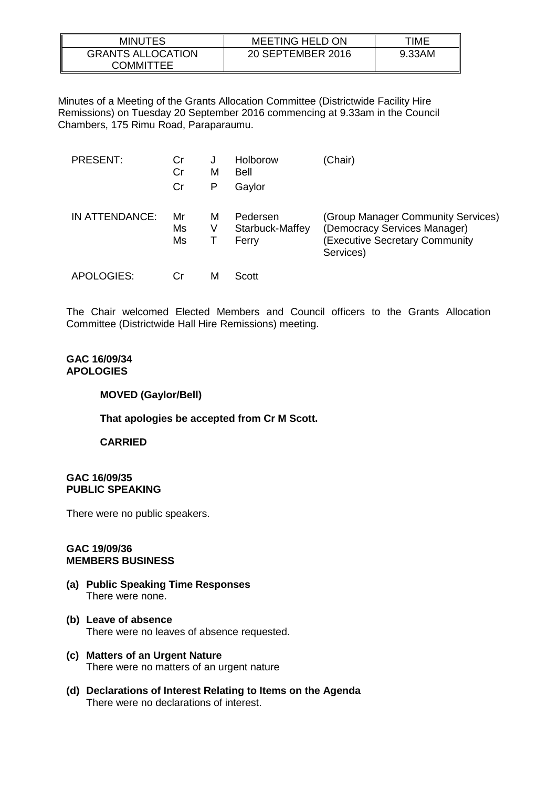| <b>MINUTES</b>                        | <b>MEETING HELD ON</b> | TIME   |
|---------------------------------------|------------------------|--------|
| <b>GRANTS ALLOCATION</b><br>COMMITTEE | 20 SEPTEMBER 2016      | 9.33AM |

Minutes of a Meeting of the Grants Allocation Committee (Districtwide Facility Hire Remissions) on Tuesday 20 September 2016 commencing at 9.33am in the Council Chambers, 175 Rimu Road, Paraparaumu.

| <b>PRESENT:</b> | Cr<br>Cr<br>Cr | J<br>м<br>Р | Holborow<br>Bell<br>Gaylor           | (Chair)                                                                                                                 |
|-----------------|----------------|-------------|--------------------------------------|-------------------------------------------------------------------------------------------------------------------------|
| IN ATTENDANCE:  | Mr<br>Ms<br>Ms | м<br>V      | Pedersen<br>Starbuck-Maffey<br>Ferry | (Group Manager Community Services)<br>(Democracy Services Manager)<br><b>Executive Secretary Community</b><br>Services) |
| APOLOGIES:      | Сr             | M           | Scott                                |                                                                                                                         |

The Chair welcomed Elected Members and Council officers to the Grants Allocation Committee (Districtwide Hall Hire Remissions) meeting.

### **GAC 16/09/34 APOLOGIES**

### **MOVED (Gaylor/Bell)**

# **That apologies be accepted from Cr M Scott.**

# **CARRIED**

### **GAC 16/09/35 PUBLIC SPEAKING**

There were no public speakers.

#### **GAC 19/09/36 MEMBERS BUSINESS**

- **(a) Public Speaking Time Responses** There were none.
- **(b) Leave of absence** There were no leaves of absence requested.
- **(c) Matters of an Urgent Nature** There were no matters of an urgent nature
- **(d) Declarations of Interest Relating to Items on the Agenda** There were no declarations of interest.